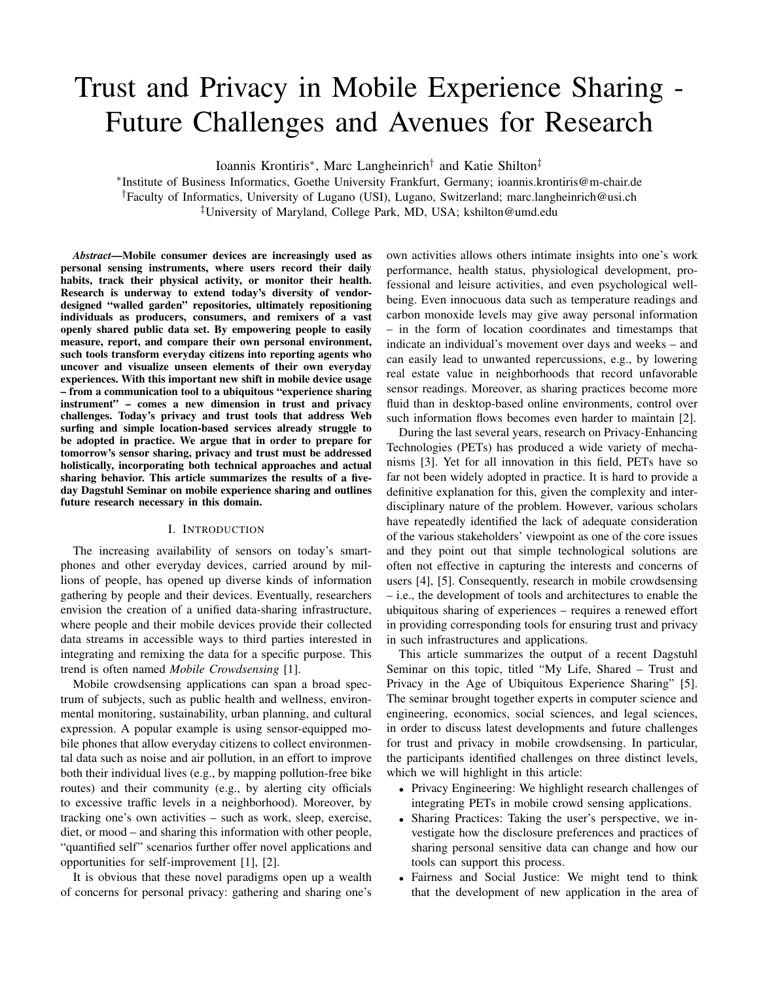# Trust and Privacy in Mobile Experience Sharing - Future Challenges and Avenues for Research

Ioannis Krontiris<sup>∗</sup> , Marc Langheinrich† and Katie Shilton‡

∗ Institute of Business Informatics, Goethe University Frankfurt, Germany; ioannis.krontiris@m-chair.de †Faculty of Informatics, University of Lugano (USI), Lugano, Switzerland; marc.langheinrich@usi.ch ‡University of Maryland, College Park, MD, USA; kshilton@umd.edu

*Abstract*—Mobile consumer devices are increasingly used as personal sensing instruments, where users record their daily habits, track their physical activity, or monitor their health. Research is underway to extend today's diversity of vendordesigned "walled garden" repositories, ultimately repositioning individuals as producers, consumers, and remixers of a vast openly shared public data set. By empowering people to easily measure, report, and compare their own personal environment, such tools transform everyday citizens into reporting agents who uncover and visualize unseen elements of their own everyday experiences. With this important new shift in mobile device usage – from a communication tool to a ubiquitous "experience sharing instrument" – comes a new dimension in trust and privacy challenges. Today's privacy and trust tools that address Web surfing and simple location-based services already struggle to be adopted in practice. We argue that in order to prepare for tomorrow's sensor sharing, privacy and trust must be addressed holistically, incorporating both technical approaches and actual sharing behavior. This article summarizes the results of a fiveday Dagstuhl Seminar on mobile experience sharing and outlines future research necessary in this domain.

## I. INTRODUCTION

The increasing availability of sensors on today's smartphones and other everyday devices, carried around by millions of people, has opened up diverse kinds of information gathering by people and their devices. Eventually, researchers envision the creation of a unified data-sharing infrastructure, where people and their mobile devices provide their collected data streams in accessible ways to third parties interested in integrating and remixing the data for a specific purpose. This trend is often named *Mobile Crowdsensing* [1].

Mobile crowdsensing applications can span a broad spectrum of subjects, such as public health and wellness, environmental monitoring, sustainability, urban planning, and cultural expression. A popular example is using sensor-equipped mobile phones that allow everyday citizens to collect environmental data such as noise and air pollution, in an effort to improve both their individual lives (e.g., by mapping pollution-free bike routes) and their community (e.g., by alerting city officials to excessive traffic levels in a neighborhood). Moreover, by tracking one's own activities – such as work, sleep, exercise, diet, or mood – and sharing this information with other people, "quantified self" scenarios further offer novel applications and opportunities for self-improvement [1], [2].

It is obvious that these novel paradigms open up a wealth of concerns for personal privacy: gathering and sharing one's own activities allows others intimate insights into one's work performance, health status, physiological development, professional and leisure activities, and even psychological wellbeing. Even innocuous data such as temperature readings and carbon monoxide levels may give away personal information – in the form of location coordinates and timestamps that indicate an individual's movement over days and weeks – and can easily lead to unwanted repercussions, e.g., by lowering real estate value in neighborhoods that record unfavorable sensor readings. Moreover, as sharing practices become more fluid than in desktop-based online environments, control over such information flows becomes even harder to maintain [2].

During the last several years, research on Privacy-Enhancing Technologies (PETs) has produced a wide variety of mechanisms [3]. Yet for all innovation in this field, PETs have so far not been widely adopted in practice. It is hard to provide a definitive explanation for this, given the complexity and interdisciplinary nature of the problem. However, various scholars have repeatedly identified the lack of adequate consideration of the various stakeholders' viewpoint as one of the core issues and they point out that simple technological solutions are often not effective in capturing the interests and concerns of users [4], [5]. Consequently, research in mobile crowdsensing – i.e., the development of tools and architectures to enable the ubiquitous sharing of experiences – requires a renewed effort in providing corresponding tools for ensuring trust and privacy in such infrastructures and applications.

This article summarizes the output of a recent Dagstuhl Seminar on this topic, titled "My Life, Shared – Trust and Privacy in the Age of Ubiquitous Experience Sharing" [5]. The seminar brought together experts in computer science and engineering, economics, social sciences, and legal sciences, in order to discuss latest developments and future challenges for trust and privacy in mobile crowdsensing. In particular, the participants identified challenges on three distinct levels, which we will highlight in this article:

- Privacy Engineering: We highlight research challenges of integrating PETs in mobile crowd sensing applications.
- Sharing Practices: Taking the user's perspective, we investigate how the disclosure preferences and practices of sharing personal sensitive data can change and how our tools can support this process.
- Fairness and Social Justice: We might tend to think that the development of new application in the area of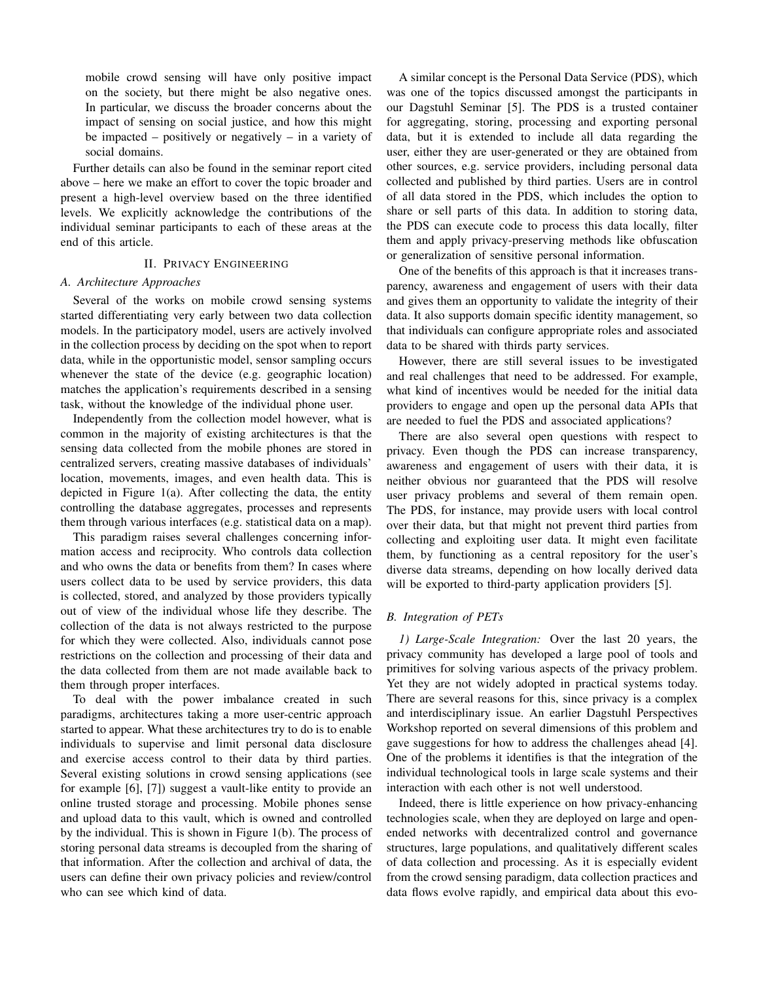mobile crowd sensing will have only positive impact on the society, but there might be also negative ones. In particular, we discuss the broader concerns about the impact of sensing on social justice, and how this might be impacted – positively or negatively – in a variety of social domains.

Further details can also be found in the seminar report cited above – here we make an effort to cover the topic broader and present a high-level overview based on the three identified levels. We explicitly acknowledge the contributions of the individual seminar participants to each of these areas at the end of this article.

#### II. PRIVACY ENGINEERING

#### *A. Architecture Approaches*

Several of the works on mobile crowd sensing systems started differentiating very early between two data collection models. In the participatory model, users are actively involved in the collection process by deciding on the spot when to report data, while in the opportunistic model, sensor sampling occurs whenever the state of the device (e.g. geographic location) matches the application's requirements described in a sensing task, without the knowledge of the individual phone user.

Independently from the collection model however, what is common in the majority of existing architectures is that the sensing data collected from the mobile phones are stored in centralized servers, creating massive databases of individuals' location, movements, images, and even health data. This is depicted in Figure 1(a). After collecting the data, the entity controlling the database aggregates, processes and represents them through various interfaces (e.g. statistical data on a map).

This paradigm raises several challenges concerning information access and reciprocity. Who controls data collection and who owns the data or benefits from them? In cases where users collect data to be used by service providers, this data is collected, stored, and analyzed by those providers typically out of view of the individual whose life they describe. The collection of the data is not always restricted to the purpose for which they were collected. Also, individuals cannot pose restrictions on the collection and processing of their data and the data collected from them are not made available back to them through proper interfaces.

To deal with the power imbalance created in such paradigms, architectures taking a more user-centric approach started to appear. What these architectures try to do is to enable individuals to supervise and limit personal data disclosure and exercise access control to their data by third parties. Several existing solutions in crowd sensing applications (see for example [6], [7]) suggest a vault-like entity to provide an online trusted storage and processing. Mobile phones sense and upload data to this vault, which is owned and controlled by the individual. This is shown in Figure 1(b). The process of storing personal data streams is decoupled from the sharing of that information. After the collection and archival of data, the users can define their own privacy policies and review/control who can see which kind of data.

A similar concept is the Personal Data Service (PDS), which was one of the topics discussed amongst the participants in our Dagstuhl Seminar [5]. The PDS is a trusted container for aggregating, storing, processing and exporting personal data, but it is extended to include all data regarding the user, either they are user-generated or they are obtained from other sources, e.g. service providers, including personal data collected and published by third parties. Users are in control of all data stored in the PDS, which includes the option to share or sell parts of this data. In addition to storing data, the PDS can execute code to process this data locally, filter them and apply privacy-preserving methods like obfuscation or generalization of sensitive personal information.

One of the benefits of this approach is that it increases transparency, awareness and engagement of users with their data and gives them an opportunity to validate the integrity of their data. It also supports domain specific identity management, so that individuals can configure appropriate roles and associated data to be shared with thirds party services.

However, there are still several issues to be investigated and real challenges that need to be addressed. For example, what kind of incentives would be needed for the initial data providers to engage and open up the personal data APIs that are needed to fuel the PDS and associated applications?

There are also several open questions with respect to privacy. Even though the PDS can increase transparency, awareness and engagement of users with their data, it is neither obvious nor guaranteed that the PDS will resolve user privacy problems and several of them remain open. The PDS, for instance, may provide users with local control over their data, but that might not prevent third parties from collecting and exploiting user data. It might even facilitate them, by functioning as a central repository for the user's diverse data streams, depending on how locally derived data will be exported to third-party application providers [5].

#### *B. Integration of PETs*

*1) Large-Scale Integration:* Over the last 20 years, the privacy community has developed a large pool of tools and primitives for solving various aspects of the privacy problem. Yet they are not widely adopted in practical systems today. There are several reasons for this, since privacy is a complex and interdisciplinary issue. An earlier Dagstuhl Perspectives Workshop reported on several dimensions of this problem and gave suggestions for how to address the challenges ahead [4]. One of the problems it identifies is that the integration of the individual technological tools in large scale systems and their interaction with each other is not well understood.

Indeed, there is little experience on how privacy-enhancing technologies scale, when they are deployed on large and openended networks with decentralized control and governance structures, large populations, and qualitatively different scales of data collection and processing. As it is especially evident from the crowd sensing paradigm, data collection practices and data flows evolve rapidly, and empirical data about this evo-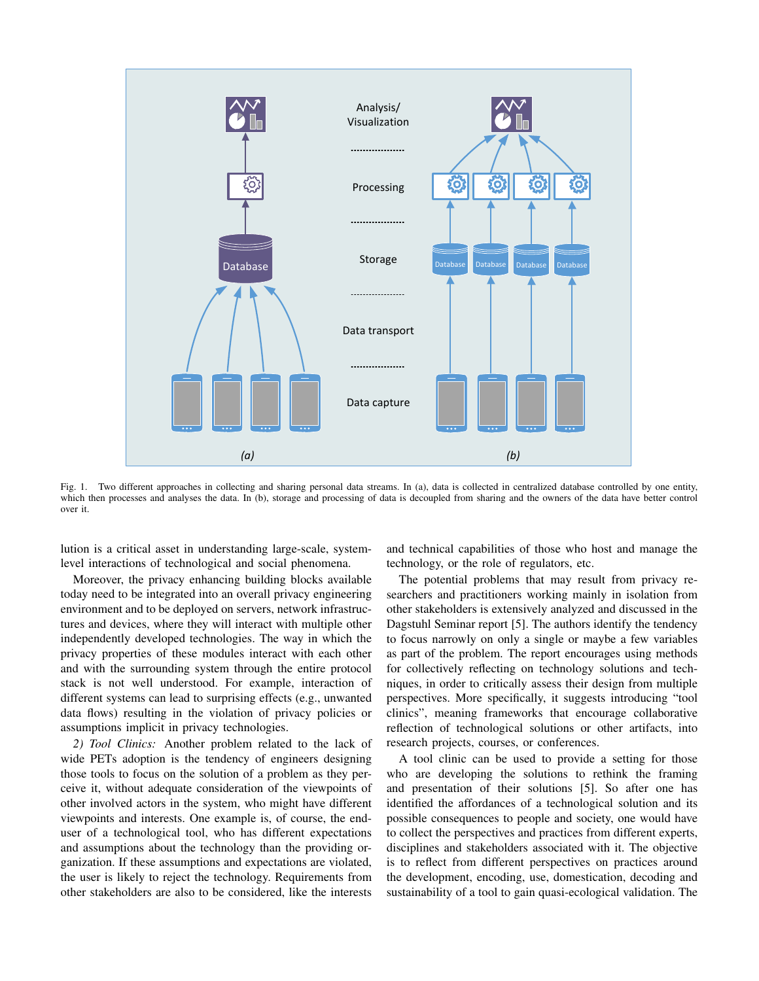

Fig. 1. Two different approaches in collecting and sharing personal data streams. In (a), data is collected in centralized database controlled by one entity, which then processes and analyses the data. In (b), storage and processing of data is decoupled from sharing and the owners of the data have better control over it.

lution is a critical asset in understanding large-scale, systemlevel interactions of technological and social phenomena.

Moreover, the privacy enhancing building blocks available today need to be integrated into an overall privacy engineering environment and to be deployed on servers, network infrastructures and devices, where they will interact with multiple other independently developed technologies. The way in which the privacy properties of these modules interact with each other and with the surrounding system through the entire protocol stack is not well understood. For example, interaction of different systems can lead to surprising effects (e.g., unwanted data flows) resulting in the violation of privacy policies or assumptions implicit in privacy technologies.

*2) Tool Clinics:* Another problem related to the lack of wide PETs adoption is the tendency of engineers designing those tools to focus on the solution of a problem as they perceive it, without adequate consideration of the viewpoints of other involved actors in the system, who might have different viewpoints and interests. One example is, of course, the enduser of a technological tool, who has different expectations and assumptions about the technology than the providing organization. If these assumptions and expectations are violated, the user is likely to reject the technology. Requirements from other stakeholders are also to be considered, like the interests

and technical capabilities of those who host and manage the technology, or the role of regulators, etc.

The potential problems that may result from privacy researchers and practitioners working mainly in isolation from other stakeholders is extensively analyzed and discussed in the Dagstuhl Seminar report [5]. The authors identify the tendency to focus narrowly on only a single or maybe a few variables as part of the problem. The report encourages using methods for collectively reflecting on technology solutions and techniques, in order to critically assess their design from multiple perspectives. More specifically, it suggests introducing "tool clinics", meaning frameworks that encourage collaborative reflection of technological solutions or other artifacts, into research projects, courses, or conferences.

A tool clinic can be used to provide a setting for those who are developing the solutions to rethink the framing and presentation of their solutions [5]. So after one has identified the affordances of a technological solution and its possible consequences to people and society, one would have to collect the perspectives and practices from different experts, disciplines and stakeholders associated with it. The objective is to reflect from different perspectives on practices around the development, encoding, use, domestication, decoding and sustainability of a tool to gain quasi-ecological validation. The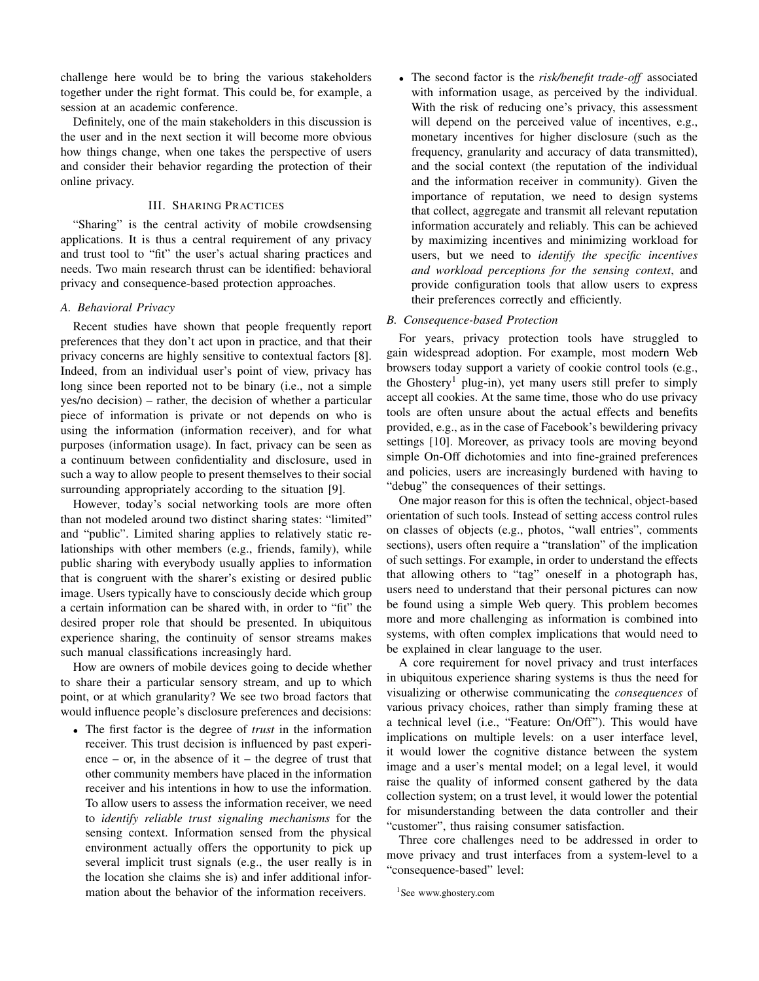challenge here would be to bring the various stakeholders together under the right format. This could be, for example, a session at an academic conference.

Definitely, one of the main stakeholders in this discussion is the user and in the next section it will become more obvious how things change, when one takes the perspective of users and consider their behavior regarding the protection of their online privacy.

## III. SHARING PRACTICES

"Sharing" is the central activity of mobile crowdsensing applications. It is thus a central requirement of any privacy and trust tool to "fit" the user's actual sharing practices and needs. Two main research thrust can be identified: behavioral privacy and consequence-based protection approaches.

## *A. Behavioral Privacy*

Recent studies have shown that people frequently report preferences that they don't act upon in practice, and that their privacy concerns are highly sensitive to contextual factors [8]. Indeed, from an individual user's point of view, privacy has long since been reported not to be binary (i.e., not a simple yes/no decision) – rather, the decision of whether a particular piece of information is private or not depends on who is using the information (information receiver), and for what purposes (information usage). In fact, privacy can be seen as a continuum between confidentiality and disclosure, used in such a way to allow people to present themselves to their social surrounding appropriately according to the situation [9].

However, today's social networking tools are more often than not modeled around two distinct sharing states: "limited" and "public". Limited sharing applies to relatively static relationships with other members (e.g., friends, family), while public sharing with everybody usually applies to information that is congruent with the sharer's existing or desired public image. Users typically have to consciously decide which group a certain information can be shared with, in order to "fit" the desired proper role that should be presented. In ubiquitous experience sharing, the continuity of sensor streams makes such manual classifications increasingly hard.

How are owners of mobile devices going to decide whether to share their a particular sensory stream, and up to which point, or at which granularity? We see two broad factors that would influence people's disclosure preferences and decisions:

• The first factor is the degree of *trust* in the information receiver. This trust decision is influenced by past experience – or, in the absence of it – the degree of trust that other community members have placed in the information receiver and his intentions in how to use the information. To allow users to assess the information receiver, we need to *identify reliable trust signaling mechanisms* for the sensing context. Information sensed from the physical environment actually offers the opportunity to pick up several implicit trust signals (e.g., the user really is in the location she claims she is) and infer additional information about the behavior of the information receivers.

• The second factor is the *risk/benefit trade-off* associated with information usage, as perceived by the individual. With the risk of reducing one's privacy, this assessment will depend on the perceived value of incentives, e.g., monetary incentives for higher disclosure (such as the frequency, granularity and accuracy of data transmitted), and the social context (the reputation of the individual and the information receiver in community). Given the importance of reputation, we need to design systems that collect, aggregate and transmit all relevant reputation information accurately and reliably. This can be achieved by maximizing incentives and minimizing workload for users, but we need to *identify the specific incentives and workload perceptions for the sensing context*, and provide configuration tools that allow users to express their preferences correctly and efficiently.

### *B. Consequence-based Protection*

For years, privacy protection tools have struggled to gain widespread adoption. For example, most modern Web browsers today support a variety of cookie control tools (e.g., the Ghostery<sup>1</sup> plug-in), yet many users still prefer to simply accept all cookies. At the same time, those who do use privacy tools are often unsure about the actual effects and benefits provided, e.g., as in the case of Facebook's bewildering privacy settings [10]. Moreover, as privacy tools are moving beyond simple On-Off dichotomies and into fine-grained preferences and policies, users are increasingly burdened with having to "debug" the consequences of their settings.

One major reason for this is often the technical, object-based orientation of such tools. Instead of setting access control rules on classes of objects (e.g., photos, "wall entries", comments sections), users often require a "translation" of the implication of such settings. For example, in order to understand the effects that allowing others to "tag" oneself in a photograph has, users need to understand that their personal pictures can now be found using a simple Web query. This problem becomes more and more challenging as information is combined into systems, with often complex implications that would need to be explained in clear language to the user.

A core requirement for novel privacy and trust interfaces in ubiquitous experience sharing systems is thus the need for visualizing or otherwise communicating the *consequences* of various privacy choices, rather than simply framing these at a technical level (i.e., "Feature: On/Off"). This would have implications on multiple levels: on a user interface level, it would lower the cognitive distance between the system image and a user's mental model; on a legal level, it would raise the quality of informed consent gathered by the data collection system; on a trust level, it would lower the potential for misunderstanding between the data controller and their "customer", thus raising consumer satisfaction.

Three core challenges need to be addressed in order to move privacy and trust interfaces from a system-level to a "consequence-based" level:

<sup>&</sup>lt;sup>1</sup>See www.ghostery.com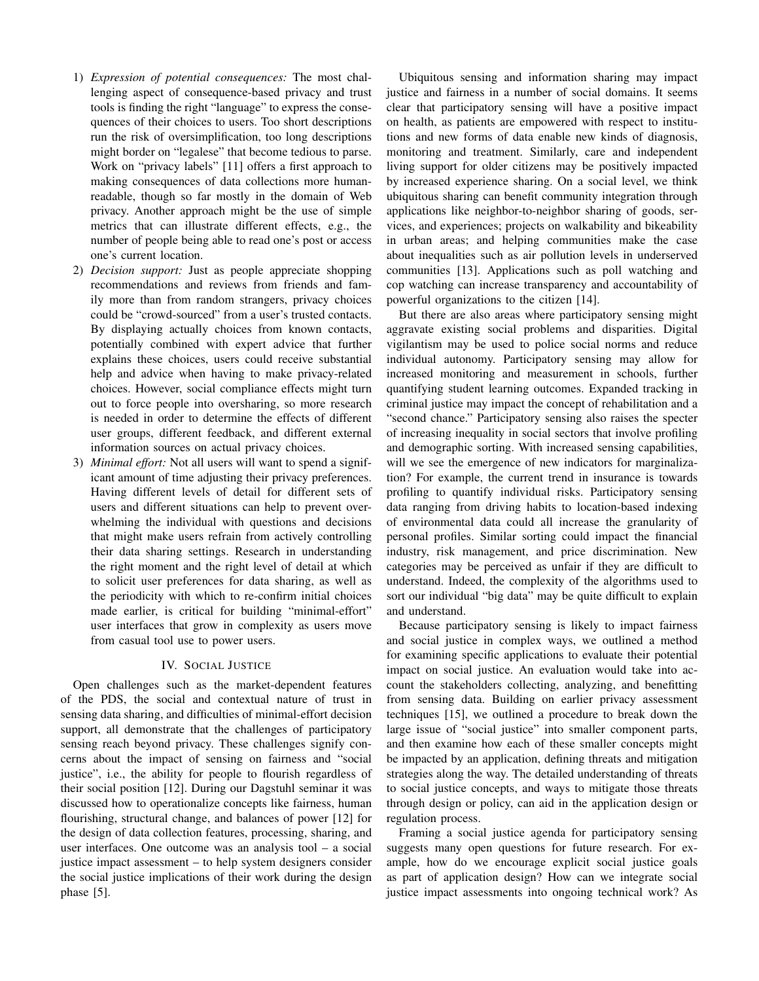- 1) *Expression of potential consequences:* The most challenging aspect of consequence-based privacy and trust tools is finding the right "language" to express the consequences of their choices to users. Too short descriptions run the risk of oversimplification, too long descriptions might border on "legalese" that become tedious to parse. Work on "privacy labels" [11] offers a first approach to making consequences of data collections more humanreadable, though so far mostly in the domain of Web privacy. Another approach might be the use of simple metrics that can illustrate different effects, e.g., the number of people being able to read one's post or access one's current location.
- 2) *Decision support:* Just as people appreciate shopping recommendations and reviews from friends and family more than from random strangers, privacy choices could be "crowd-sourced" from a user's trusted contacts. By displaying actually choices from known contacts, potentially combined with expert advice that further explains these choices, users could receive substantial help and advice when having to make privacy-related choices. However, social compliance effects might turn out to force people into oversharing, so more research is needed in order to determine the effects of different user groups, different feedback, and different external information sources on actual privacy choices.
- 3) *Minimal effort:* Not all users will want to spend a significant amount of time adjusting their privacy preferences. Having different levels of detail for different sets of users and different situations can help to prevent overwhelming the individual with questions and decisions that might make users refrain from actively controlling their data sharing settings. Research in understanding the right moment and the right level of detail at which to solicit user preferences for data sharing, as well as the periodicity with which to re-confirm initial choices made earlier, is critical for building "minimal-effort" user interfaces that grow in complexity as users move from casual tool use to power users.

### IV. SOCIAL JUSTICE

Open challenges such as the market-dependent features of the PDS, the social and contextual nature of trust in sensing data sharing, and difficulties of minimal-effort decision support, all demonstrate that the challenges of participatory sensing reach beyond privacy. These challenges signify concerns about the impact of sensing on fairness and "social justice", i.e., the ability for people to flourish regardless of their social position [12]. During our Dagstuhl seminar it was discussed how to operationalize concepts like fairness, human flourishing, structural change, and balances of power [12] for the design of data collection features, processing, sharing, and user interfaces. One outcome was an analysis tool – a social justice impact assessment – to help system designers consider the social justice implications of their work during the design phase [5].

Ubiquitous sensing and information sharing may impact justice and fairness in a number of social domains. It seems clear that participatory sensing will have a positive impact on health, as patients are empowered with respect to institutions and new forms of data enable new kinds of diagnosis, monitoring and treatment. Similarly, care and independent living support for older citizens may be positively impacted by increased experience sharing. On a social level, we think ubiquitous sharing can benefit community integration through applications like neighbor-to-neighbor sharing of goods, services, and experiences; projects on walkability and bikeability in urban areas; and helping communities make the case about inequalities such as air pollution levels in underserved communities [13]. Applications such as poll watching and cop watching can increase transparency and accountability of powerful organizations to the citizen [14].

But there are also areas where participatory sensing might aggravate existing social problems and disparities. Digital vigilantism may be used to police social norms and reduce individual autonomy. Participatory sensing may allow for increased monitoring and measurement in schools, further quantifying student learning outcomes. Expanded tracking in criminal justice may impact the concept of rehabilitation and a "second chance." Participatory sensing also raises the specter of increasing inequality in social sectors that involve profiling and demographic sorting. With increased sensing capabilities, will we see the emergence of new indicators for marginalization? For example, the current trend in insurance is towards profiling to quantify individual risks. Participatory sensing data ranging from driving habits to location-based indexing of environmental data could all increase the granularity of personal profiles. Similar sorting could impact the financial industry, risk management, and price discrimination. New categories may be perceived as unfair if they are difficult to understand. Indeed, the complexity of the algorithms used to sort our individual "big data" may be quite difficult to explain and understand.

Because participatory sensing is likely to impact fairness and social justice in complex ways, we outlined a method for examining specific applications to evaluate their potential impact on social justice. An evaluation would take into account the stakeholders collecting, analyzing, and benefitting from sensing data. Building on earlier privacy assessment techniques [15], we outlined a procedure to break down the large issue of "social justice" into smaller component parts, and then examine how each of these smaller concepts might be impacted by an application, defining threats and mitigation strategies along the way. The detailed understanding of threats to social justice concepts, and ways to mitigate those threats through design or policy, can aid in the application design or regulation process.

Framing a social justice agenda for participatory sensing suggests many open questions for future research. For example, how do we encourage explicit social justice goals as part of application design? How can we integrate social justice impact assessments into ongoing technical work? As